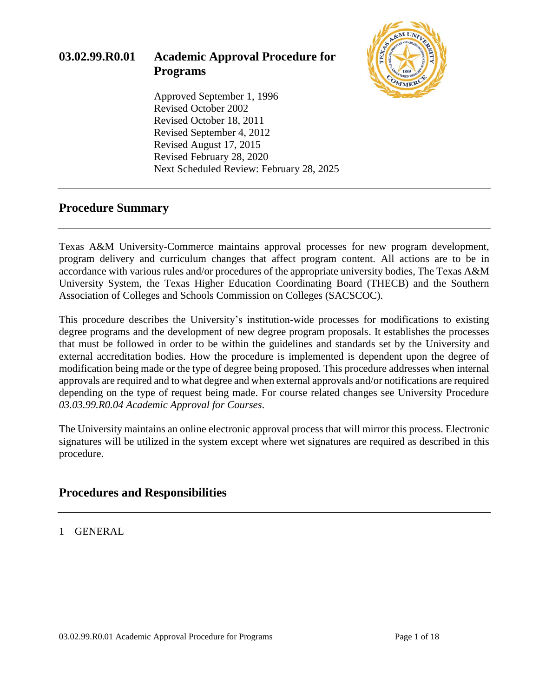

## **Procedure Summary**

Texas A&M University-Commerce maintains approval processes for new program development, program delivery and curriculum changes that affect program content. All actions are to be in accordance with various rules and/or procedures of the appropriate university bodies, The Texas A&M University System, the Texas Higher Education Coordinating Board (THECB) and the Southern Association of Colleges and Schools Commission on Colleges (SACSCOC).

This procedure describes the University's institution-wide processes for modifications to existing degree programs and the development of new degree program proposals. It establishes the processes that must be followed in order to be within the guidelines and standards set by the University and external accreditation bodies. How the procedure is implemented is dependent upon the degree of modification being made or the type of degree being proposed. This procedure addresses when internal approvals are required and to what degree and when external approvals and/or notifications are required depending on the type of request being made. For course related changes see University Procedure *03.03.99.R0.04 Academic Approval for Courses*.

The University maintains an online electronic approval process that will mirror this process. Electronic signatures will be utilized in the system except where wet signatures are required as described in this procedure.

## **Procedures and Responsibilities**

1 GENERAL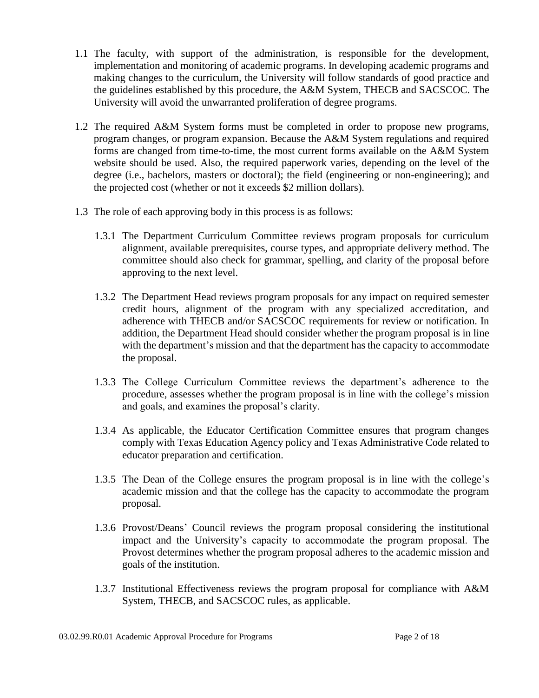- 1.1 The faculty, with support of the administration, is responsible for the development, implementation and monitoring of academic programs. In developing academic programs and making changes to the curriculum, the University will follow standards of good practice and the guidelines established by this procedure, the A&M System, THECB and SACSCOC. The University will avoid the unwarranted proliferation of degree programs.
- 1.2 The required A&M System forms must be completed in order to propose new programs, program changes, or program expansion. Because the A&M System regulations and required forms are changed from time-to-time, the most current forms available on the A&M System website should be used. Also, the required paperwork varies, depending on the level of the degree (i.e., bachelors, masters or doctoral); the field (engineering or non-engineering); and the projected cost (whether or not it exceeds \$2 million dollars).
- 1.3 The role of each approving body in this process is as follows:
	- 1.3.1 The Department Curriculum Committee reviews program proposals for curriculum alignment, available prerequisites, course types, and appropriate delivery method. The committee should also check for grammar, spelling, and clarity of the proposal before approving to the next level.
	- 1.3.2 The Department Head reviews program proposals for any impact on required semester credit hours, alignment of the program with any specialized accreditation, and adherence with THECB and/or SACSCOC requirements for review or notification. In addition, the Department Head should consider whether the program proposal is in line with the department's mission and that the department has the capacity to accommodate the proposal.
	- 1.3.3 The College Curriculum Committee reviews the department's adherence to the procedure, assesses whether the program proposal is in line with the college's mission and goals, and examines the proposal's clarity.
	- 1.3.4 As applicable, the Educator Certification Committee ensures that program changes comply with Texas Education Agency policy and Texas Administrative Code related to educator preparation and certification.
	- 1.3.5 The Dean of the College ensures the program proposal is in line with the college's academic mission and that the college has the capacity to accommodate the program proposal.
	- 1.3.6 Provost/Deans' Council reviews the program proposal considering the institutional impact and the University's capacity to accommodate the program proposal. The Provost determines whether the program proposal adheres to the academic mission and goals of the institution.
	- 1.3.7 Institutional Effectiveness reviews the program proposal for compliance with A&M System, THECB, and SACSCOC rules, as applicable.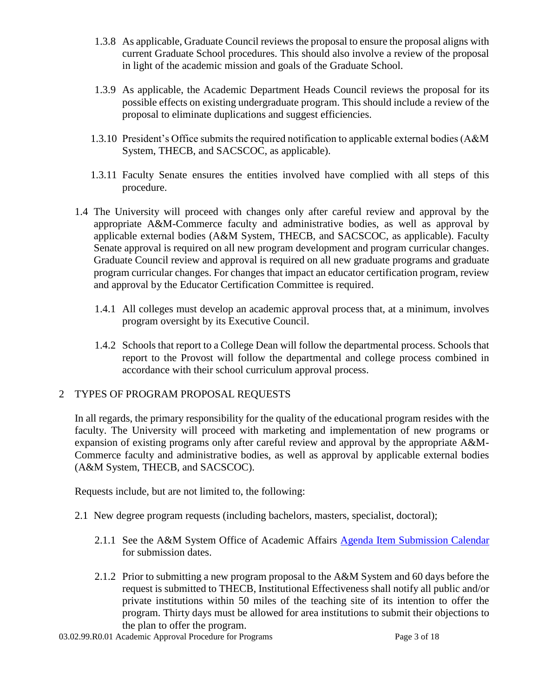- 1.3.8 As applicable, Graduate Council reviews the proposal to ensure the proposal aligns with current Graduate School procedures. This should also involve a review of the proposal in light of the academic mission and goals of the Graduate School.
- 1.3.9 As applicable, the Academic Department Heads Council reviews the proposal for its possible effects on existing undergraduate program. This should include a review of the proposal to eliminate duplications and suggest efficiencies.
- 1.3.10 President's Office submits the required notification to applicable external bodies (A&M System, THECB, and SACSCOC, as applicable).
- 1.3.11 Faculty Senate ensures the entities involved have complied with all steps of this procedure.
- 1.4 The University will proceed with changes only after careful review and approval by the appropriate A&M-Commerce faculty and administrative bodies, as well as approval by applicable external bodies (A&M System, THECB, and SACSCOC, as applicable). Faculty Senate approval is required on all new program development and program curricular changes. Graduate Council review and approval is required on all new graduate programs and graduate program curricular changes. For changes that impact an educator certification program, review and approval by the Educator Certification Committee is required.
	- 1.4.1 All colleges must develop an academic approval process that, at a minimum, involves program oversight by its Executive Council.
	- 1.4.2 Schools that report to a College Dean will follow the departmental process. Schools that report to the Provost will follow the departmental and college process combined in accordance with their school curriculum approval process.

## 2 TYPES OF PROGRAM PROPOSAL REQUESTS

In all regards, the primary responsibility for the quality of the educational program resides with the faculty. The University will proceed with marketing and implementation of new programs or expansion of existing programs only after careful review and approval by the appropriate A&M-Commerce faculty and administrative bodies, as well as approval by applicable external bodies (A&M System, THECB, and SACSCOC).

Requests include, but are not limited to, the following:

- 2.1 New degree program requests (including bachelors, masters, specialist, doctoral);
	- 2.1.1 See the A&M System Office of Academic Affairs [Agenda Item Submission Calendar](http://www.tamus.edu/academic/approval-process/) for submission dates.
	- 2.1.2 Prior to submitting a new program proposal to the A&M System and 60 days before the request is submitted to THECB, Institutional Effectiveness shall notify all public and/or private institutions within 50 miles of the teaching site of its intention to offer the program. Thirty days must be allowed for area institutions to submit their objections to the plan to offer the program.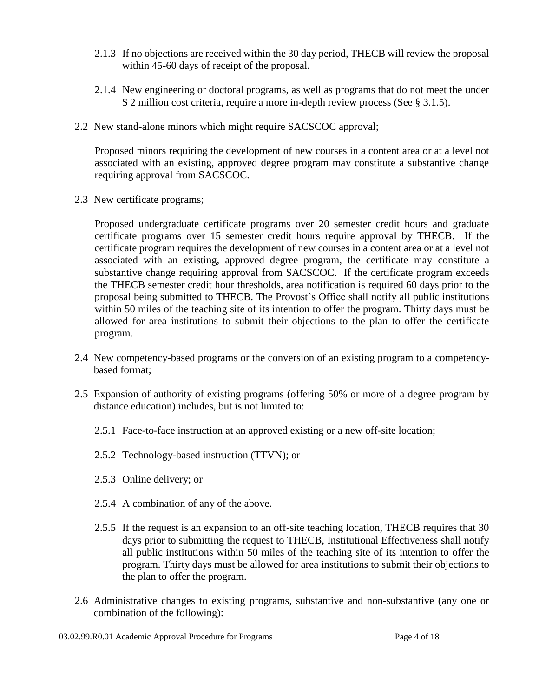- 2.1.3 If no objections are received within the 30 day period, THECB will review the proposal within 45-60 days of receipt of the proposal.
- 2.1.4 New engineering or doctoral programs, as well as programs that do not meet the under \$ 2 million cost criteria, require a more in-depth review process (See § 3.1.5).
- 2.2 New stand-alone minors which might require SACSCOC approval;

Proposed minors requiring the development of new courses in a content area or at a level not associated with an existing, approved degree program may constitute a substantive change requiring approval from SACSCOC.

2.3 New certificate programs;

Proposed undergraduate certificate programs over 20 semester credit hours and graduate certificate programs over 15 semester credit hours require approval by THECB. If the certificate program requires the development of new courses in a content area or at a level not associated with an existing, approved degree program, the certificate may constitute a substantive change requiring approval from SACSCOC. If the certificate program exceeds the THECB semester credit hour thresholds, area notification is required 60 days prior to the proposal being submitted to THECB. The Provost's Office shall notify all public institutions within 50 miles of the teaching site of its intention to offer the program. Thirty days must be allowed for area institutions to submit their objections to the plan to offer the certificate program.

- 2.4 New competency-based programs or the conversion of an existing program to a competencybased format;
- 2.5 Expansion of authority of existing programs (offering 50% or more of a degree program by distance education) includes, but is not limited to:
	- 2.5.1 Face-to-face instruction at an approved existing or a new off-site location;
	- 2.5.2 Technology-based instruction (TTVN); or
	- 2.5.3 Online delivery; or
	- 2.5.4 A combination of any of the above.
	- 2.5.5 If the request is an expansion to an off-site teaching location, THECB requires that 30 days prior to submitting the request to THECB, Institutional Effectiveness shall notify all public institutions within 50 miles of the teaching site of its intention to offer the program. Thirty days must be allowed for area institutions to submit their objections to the plan to offer the program.
- 2.6 Administrative changes to existing programs, substantive and non-substantive (any one or combination of the following):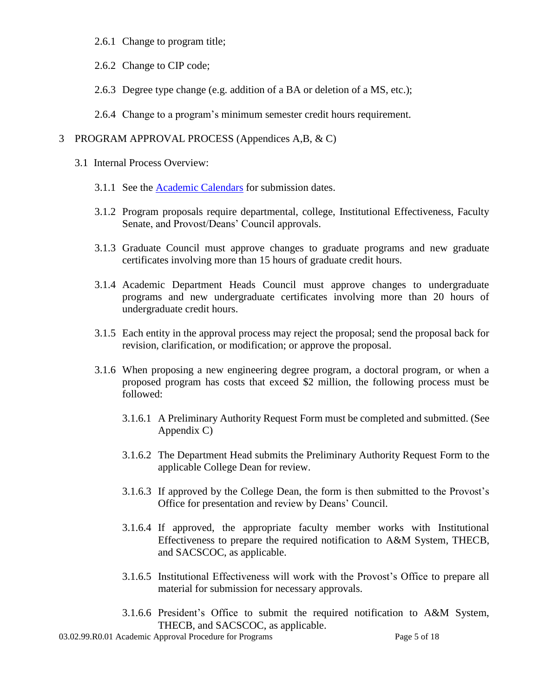- 2.6.1 Change to program title;
- 2.6.2 Change to CIP code;
- 2.6.3 Degree type change (e.g. addition of a BA or deletion of a MS, etc.);
- 2.6.4 Change to a program's minimum semester credit hours requirement.

#### 3 PROGRAM APPROVAL PROCESS (Appendices A,B, & C)

- 3.1 Internal Process Overview:
	- 3.1.1 See the [Academic Calendars](http://www.tamuc.edu/admissions/onestopshop/registrar/academicCalendars/default.aspx) for submission dates.
	- 3.1.2 Program proposals require departmental, college, Institutional Effectiveness, Faculty Senate, and Provost/Deans' Council approvals.
	- 3.1.3 Graduate Council must approve changes to graduate programs and new graduate certificates involving more than 15 hours of graduate credit hours.
	- 3.1.4 Academic Department Heads Council must approve changes to undergraduate programs and new undergraduate certificates involving more than 20 hours of undergraduate credit hours.
	- 3.1.5 Each entity in the approval process may reject the proposal; send the proposal back for revision, clarification, or modification; or approve the proposal.
	- 3.1.6 When proposing a new engineering degree program, a doctoral program, or when a proposed program has costs that exceed \$2 million, the following process must be followed:
		- 3.1.6.1 A Preliminary Authority Request Form must be completed and submitted. (See Appendix C)
		- 3.1.6.2 The Department Head submits the Preliminary Authority Request Form to the applicable College Dean for review.
		- 3.1.6.3 If approved by the College Dean, the form is then submitted to the Provost's Office for presentation and review by Deans' Council.
		- 3.1.6.4 If approved, the appropriate faculty member works with Institutional Effectiveness to prepare the required notification to A&M System, THECB, and SACSCOC, as applicable.
		- 3.1.6.5 Institutional Effectiveness will work with the Provost's Office to prepare all material for submission for necessary approvals.
		- 3.1.6.6 President's Office to submit the required notification to A&M System, THECB, and SACSCOC, as applicable.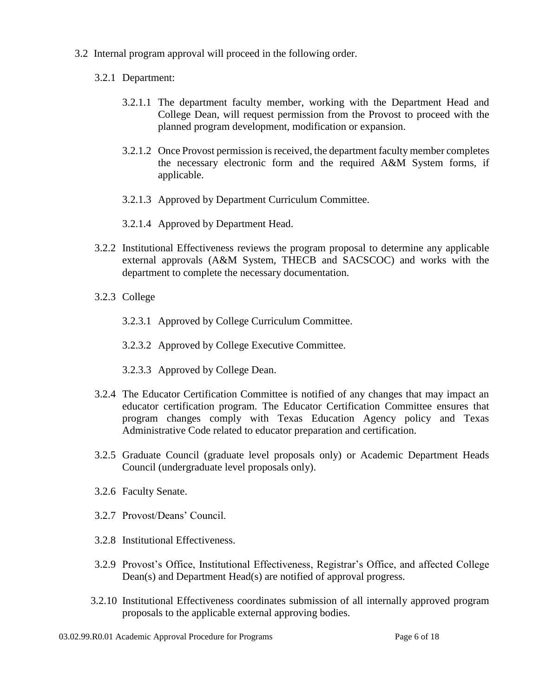- 3.2 Internal program approval will proceed in the following order.
	- 3.2.1 Department:
		- 3.2.1.1 The department faculty member, working with the Department Head and College Dean, will request permission from the Provost to proceed with the planned program development, modification or expansion.
		- 3.2.1.2 Once Provost permission is received, the department faculty member completes the necessary electronic form and the required A&M System forms, if applicable.
		- 3.2.1.3 Approved by Department Curriculum Committee.
		- 3.2.1.4 Approved by Department Head.
	- 3.2.2 Institutional Effectiveness reviews the program proposal to determine any applicable external approvals (A&M System, THECB and SACSCOC) and works with the department to complete the necessary documentation.
	- 3.2.3 College
		- 3.2.3.1 Approved by College Curriculum Committee.
		- 3.2.3.2 Approved by College Executive Committee.
		- 3.2.3.3 Approved by College Dean.
	- 3.2.4 The Educator Certification Committee is notified of any changes that may impact an educator certification program. The Educator Certification Committee ensures that program changes comply with Texas Education Agency policy and Texas Administrative Code related to educator preparation and certification.
	- 3.2.5 Graduate Council (graduate level proposals only) or Academic Department Heads Council (undergraduate level proposals only).
	- 3.2.6 Faculty Senate.
	- 3.2.7 Provost/Deans' Council.
	- 3.2.8 Institutional Effectiveness.
	- 3.2.9 Provost's Office, Institutional Effectiveness, Registrar's Office, and affected College Dean(s) and Department Head(s) are notified of approval progress.
	- 3.2.10 Institutional Effectiveness coordinates submission of all internally approved program proposals to the applicable external approving bodies.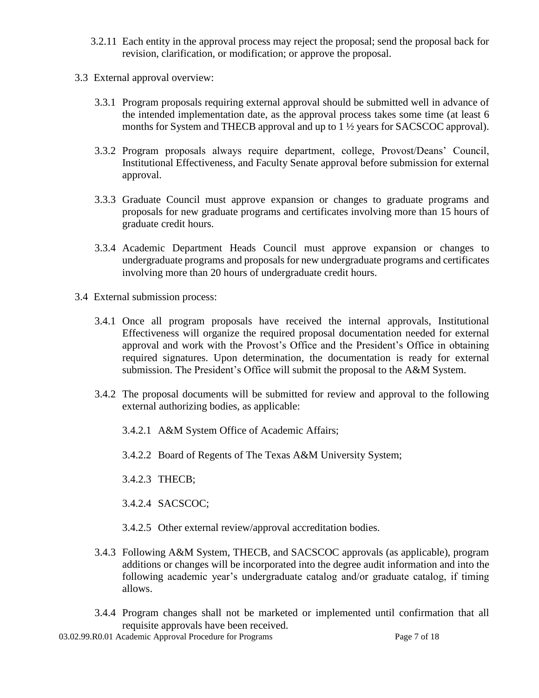- 3.2.11 Each entity in the approval process may reject the proposal; send the proposal back for revision, clarification, or modification; or approve the proposal.
- 3.3 External approval overview:
	- 3.3.1 Program proposals requiring external approval should be submitted well in advance of the intended implementation date, as the approval process takes some time (at least 6 months for System and THECB approval and up to 1  $\frac{1}{2}$  years for SACSCOC approval).
	- 3.3.2 Program proposals always require department, college, Provost/Deans' Council, Institutional Effectiveness, and Faculty Senate approval before submission for external approval.
	- 3.3.3 Graduate Council must approve expansion or changes to graduate programs and proposals for new graduate programs and certificates involving more than 15 hours of graduate credit hours.
	- 3.3.4 Academic Department Heads Council must approve expansion or changes to undergraduate programs and proposals for new undergraduate programs and certificates involving more than 20 hours of undergraduate credit hours.
- 3.4 External submission process:
	- 3.4.1 Once all program proposals have received the internal approvals, Institutional Effectiveness will organize the required proposal documentation needed for external approval and work with the Provost's Office and the President's Office in obtaining required signatures. Upon determination, the documentation is ready for external submission. The President's Office will submit the proposal to the A&M System.
	- 3.4.2 The proposal documents will be submitted for review and approval to the following external authorizing bodies, as applicable:
		- 3.4.2.1 A&M System Office of Academic Affairs;
		- 3.4.2.2 Board of Regents of The Texas A&M University System;
		- 3.4.2.3 THECB;
		- 3.4.2.4 SACSCOC;
		- 3.4.2.5 Other external review/approval accreditation bodies.
	- 3.4.3 Following A&M System, THECB, and SACSCOC approvals (as applicable), program additions or changes will be incorporated into the degree audit information and into the following academic year's undergraduate catalog and/or graduate catalog, if timing allows.
	- 3.4.4 Program changes shall not be marketed or implemented until confirmation that all requisite approvals have been received.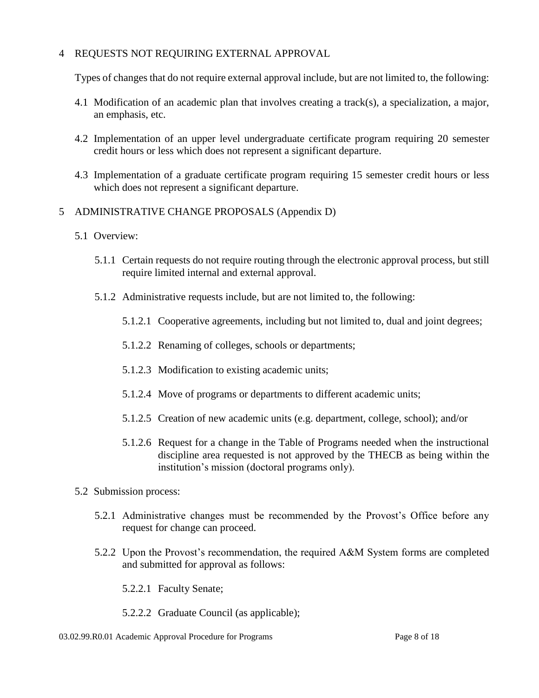## 4 REQUESTS NOT REQUIRING EXTERNAL APPROVAL

Types of changes that do not require external approval include, but are not limited to, the following:

- 4.1 Modification of an academic plan that involves creating a track(s), a specialization, a major, an emphasis, etc.
- 4.2 Implementation of an upper level undergraduate certificate program requiring 20 semester credit hours or less which does not represent a significant departure.
- 4.3 Implementation of a graduate certificate program requiring 15 semester credit hours or less which does not represent a significant departure.
- 5 ADMINISTRATIVE CHANGE PROPOSALS (Appendix D)
	- 5.1 Overview:
		- 5.1.1 Certain requests do not require routing through the electronic approval process, but still require limited internal and external approval.
		- 5.1.2 Administrative requests include, but are not limited to, the following:
			- 5.1.2.1 Cooperative agreements, including but not limited to, dual and joint degrees;
			- 5.1.2.2 Renaming of colleges, schools or departments;
			- 5.1.2.3 Modification to existing academic units;
			- 5.1.2.4 Move of programs or departments to different academic units;
			- 5.1.2.5 Creation of new academic units (e.g. department, college, school); and/or
			- 5.1.2.6 Request for a change in the Table of Programs needed when the instructional discipline area requested is not approved by the THECB as being within the institution's mission (doctoral programs only).
	- 5.2 Submission process:
		- 5.2.1 Administrative changes must be recommended by the Provost's Office before any request for change can proceed.
		- 5.2.2 Upon the Provost's recommendation, the required A&M System forms are completed and submitted for approval as follows:
			- 5.2.2.1 Faculty Senate;
			- 5.2.2.2 Graduate Council (as applicable);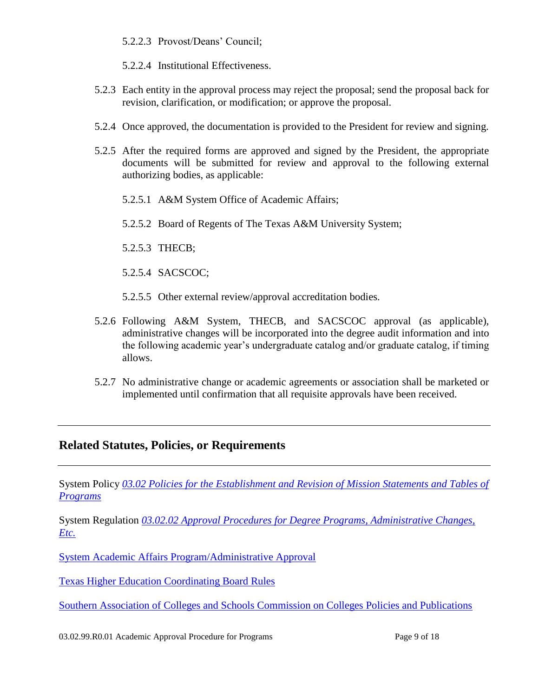5.2.2.3 Provost/Deans' Council;

5.2.2.4 Institutional Effectiveness.

- 5.2.3 Each entity in the approval process may reject the proposal; send the proposal back for revision, clarification, or modification; or approve the proposal.
- 5.2.4 Once approved, the documentation is provided to the President for review and signing.
- 5.2.5 After the required forms are approved and signed by the President, the appropriate documents will be submitted for review and approval to the following external authorizing bodies, as applicable:
	- 5.2.5.1 A&M System Office of Academic Affairs;
	- 5.2.5.2 Board of Regents of The Texas A&M University System;
	- 5.2.5.3 THECB;
	- 5.2.5.4 SACSCOC;
	- 5.2.5.5 Other external review/approval accreditation bodies.
- 5.2.6 Following A&M System, THECB, and SACSCOC approval (as applicable), administrative changes will be incorporated into the degree audit information and into the following academic year's undergraduate catalog and/or graduate catalog, if timing allows.
- 5.2.7 No administrative change or academic agreements or association shall be marketed or implemented until confirmation that all requisite approvals have been received.

## **Related Statutes, Policies, or Requirements**

System Policy *[03.02 Policies for the Establishment and Revision of Mission Statements and Tables of](http://policies.tamus.edu/03-02.pdf)  [Programs](http://policies.tamus.edu/03-02.pdf)*

System Regulation *[03.02.02 Approval Procedures for Degree Programs, Administrative Changes,](http://policies.tamus.edu/03-02-02.pdf)  [Etc.](http://policies.tamus.edu/03-02-02.pdf)*

[System Academic Affairs Program/Administrative Approval](http://www.tamus.edu/academic/approval-process/) 

Texas Higher Education [Coordinating Board Rules](http://www.thecb.state.tx.us/apps/Laws/default.cfm)

[Southern Association of Colleges and Schools Commission on Colleges Policies and Publications](http://www.sacscoc.org/pol.asp)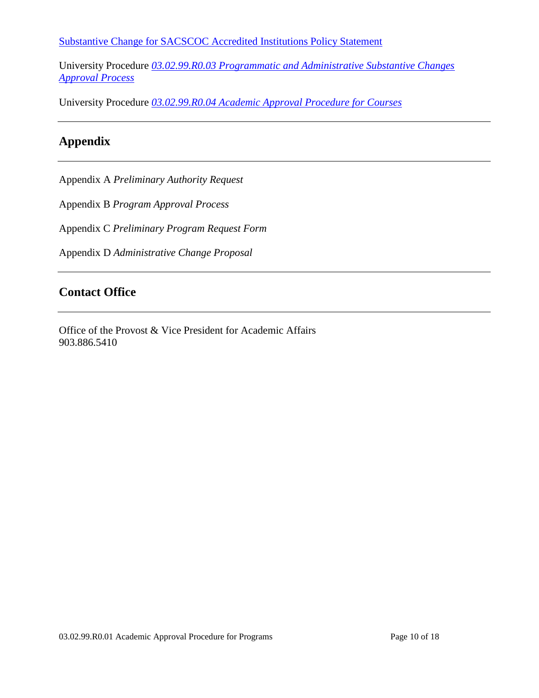[Substantive Change for SACSCOC Accredited Institutions Policy Statement](http://www.sacscoc.org/pdf/081705/SubstantiveChange.pdfhttp:/www.sacscoc.org/pdf/081705/SubstantiveChange.pdf)

University Procedure *[03.02.99.R0.03 Programmatic and Administrative Substantive Changes](http://www.tamuc.edu/aboutUs/policiesProceduresStandardsStatements/rulesProcedures/03StatementsOfMissionAndObjectives/03.02.99.R0.03.pdf)  [Approval Process](http://www.tamuc.edu/aboutUs/policiesProceduresStandardsStatements/rulesProcedures/03StatementsOfMissionAndObjectives/03.02.99.R0.03.pdf)*

University Procedure *[03.02.99.R0.04 Academic Approval Procedure for Courses](http://www.tamuc.edu/aboutUs/policiesProceduresStandardsStatements/rulesProcedures/03StatementsOfMissionAndObjectives/03.02.99.R0.04.pdf)*

# **Appendix**

Appendix A *Preliminary Authority Request*

Appendix B *Program Approval Process*

Appendix C *Preliminary Program Request Form*

Appendix D *Administrative Change Proposal*

## **Contact Office**

Office of the Provost & Vice President for Academic Affairs 903.886.5410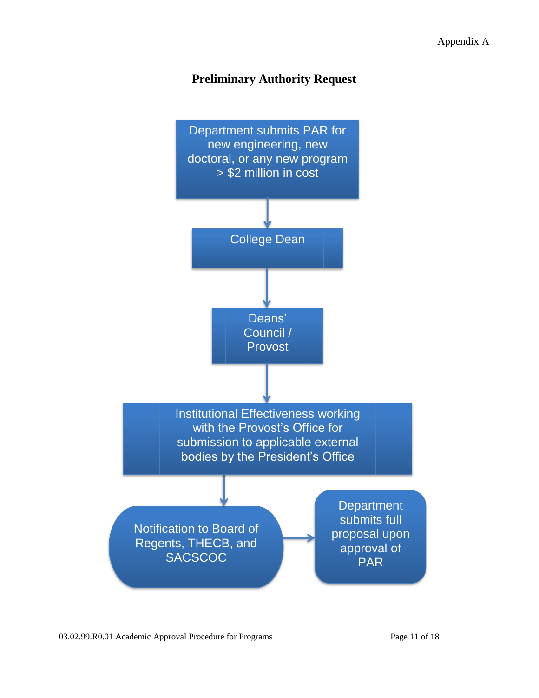# **Preliminary Authority Request**

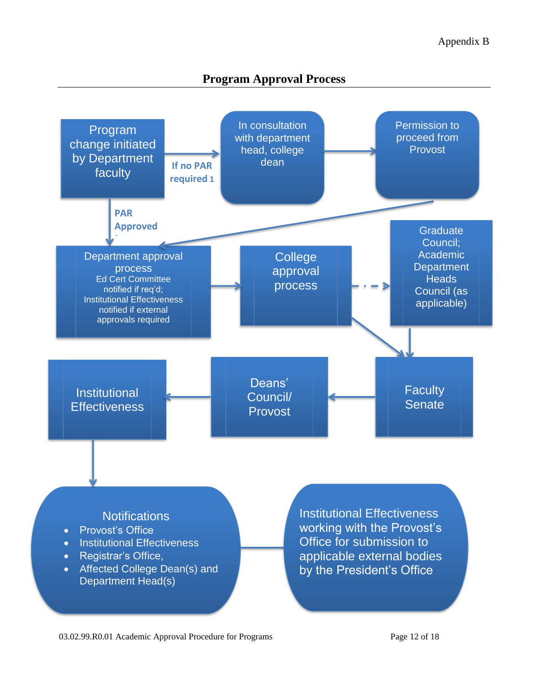# **Program Approval Process**

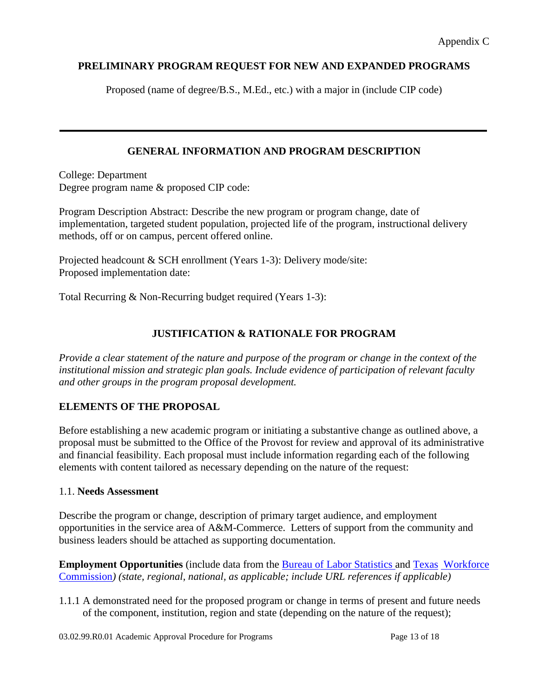## **PRELIMINARY PROGRAM REQUEST FOR NEW AND EXPANDED PROGRAMS**

Proposed (name of degree/B.S., M.Ed., etc.) with a major in (include CIP code)

## **GENERAL INFORMATION AND PROGRAM DESCRIPTION**

College: Department Degree program name & proposed CIP code:

Program Description Abstract: Describe the new program or program change, date of implementation, targeted student population, projected life of the program, instructional delivery methods, off or on campus, percent offered online.

Projected headcount & SCH enrollment (Years 1-3): Delivery mode/site: Proposed implementation date:

Total Recurring & Non-Recurring budget required (Years 1-3):

## **JUSTIFICATION & RATIONALE FOR PROGRAM**

*Provide a clear statement of the nature and purpose of the program or change in the context of the institutional mission and strategic plan goals. Include evidence of participation of relevant faculty and other groups in the program proposal development.*

## **ELEMENTS OF THE PROPOSAL**

Before establishing a new academic program or initiating a substantive change as outlined above, a proposal must be submitted to the Office of the Provost for review and approval of its administrative and financial feasibility. Each proposal must include information regarding each of the following elements with content tailored as necessary depending on the nature of the request:

## 1.1. **Needs Assessment**

Describe the program or change, description of primary target audience, and employment opportunities in the service area of A&M-Commerce. Letters of support from the community and business leaders should be attached as supporting documentation.

**Employment Opportunities** (include data from the [Bureau of Labor Statistics a](http://stats.bls.gov/)nd [Texas](http://www.twc.state.tx.us/) [Workforce](http://www.twc.state.tx.us/)  [Commission](http://www.twc.state.tx.us/)*) (state, regional, national, as applicable; include URL references if applicable)*

1.1.1 A demonstrated need for the proposed program or change in terms of present and future needs of the component, institution, region and state (depending on the nature of the request);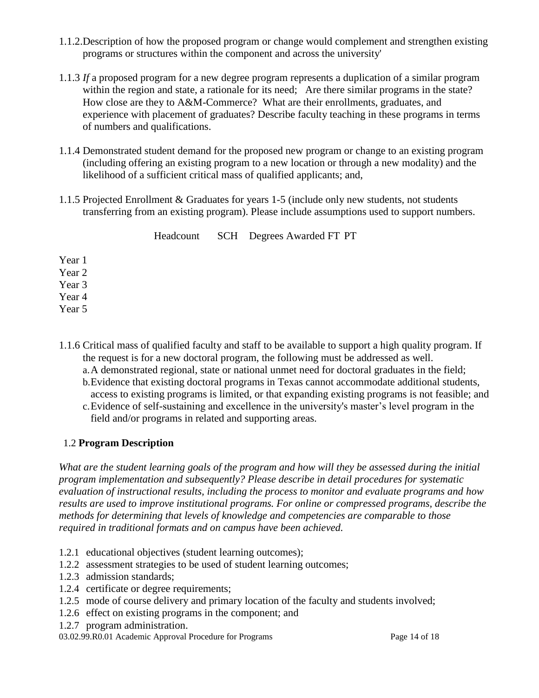- 1.1.2.Description of how the proposed program or change would complement and strengthen existing programs or structures within the component and across the university'
- 1.1.3 *If* a proposed program for a new degree program represents a duplication of a similar program within the region and state, a rationale for its need; Are there similar programs in the state? How close are they to A&M-Commerce? What are their enrollments, graduates, and experience with placement of graduates? Describe faculty teaching in these programs in terms of numbers and qualifications.
- 1.1.4 Demonstrated student demand for the proposed new program or change to an existing program (including offering an existing program to a new location or through a new modality) and the likelihood of a sufficient critical mass of qualified applicants; and,
- 1.1.5 Projected Enrollment & Graduates for years 1-5 (include only new students, not students transferring from an existing program). Please include assumptions used to support numbers.

|        |  | Headcount SCH Degrees Awarded FT PT |  |
|--------|--|-------------------------------------|--|
| Year 1 |  |                                     |  |
| Year 2 |  |                                     |  |
| Year 3 |  |                                     |  |
| Year 4 |  |                                     |  |
| Year 5 |  |                                     |  |

- 1.1.6 Critical mass of qualified faculty and staff to be available to support a high quality program. If the request is for a new doctoral program, the following must be addressed as well.
	- a.A demonstrated regional, state or national unmet need for doctoral graduates in the field;
	- b.Evidence that existing doctoral programs in Texas cannot accommodate additional students, access to existing programs is limited, or that expanding existing programs is not feasible; and
	- c.Evidence of self-sustaining and excellence in the university's master's level program in the field and/or programs in related and supporting areas.

## 1.2 **Program Description**

*What are the student learning goals of the program and how will they be assessed during the initial program implementation and subsequently? Please describe in detail procedures for systematic evaluation of instructional results, including the process to monitor and evaluate programs and how results are used to improve institutional programs. For online or compressed programs, describe the methods for determining that levels of knowledge and competencies are comparable to those required in traditional formats and on campus have been achieved.*

- 1.2.1 educational objectives (student learning outcomes);
- 1.2.2 assessment strategies to be used of student learning outcomes;
- 1.2.3 admission standards;
- 1.2.4 certificate or degree requirements;
- 1.2.5 mode of course delivery and primary location of the faculty and students involved;
- 1.2.6 effect on existing programs in the component; and
- 1.2.7 program administration.
- 03.02.99.R0.01 Academic Approval Procedure for Programs Page 14 of 18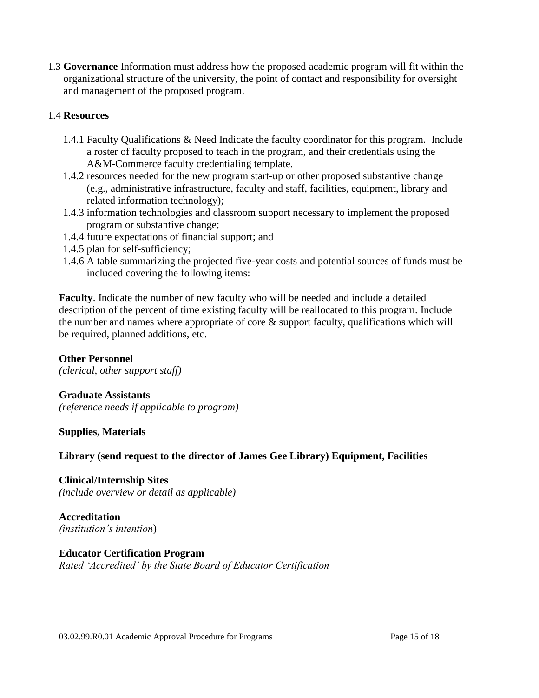1.3 **Governance** Information must address how the proposed academic program will fit within the organizational structure of the university, the point of contact and responsibility for oversight and management of the proposed program.

#### 1.4 **Resources**

- 1.4.1 Faculty Qualifications & Need Indicate the faculty coordinator for this program. Include a roster of faculty proposed to teach in the program, and their credentials using the A&M-Commerce faculty credentialing template.
- 1.4.2 resources needed for the new program start-up or other proposed substantive change (e.g., administrative infrastructure, faculty and staff, facilities, equipment, library and related information technology);
- 1.4.3 information technologies and classroom support necessary to implement the proposed program or substantive change;
- 1.4.4 future expectations of financial support; and
- 1.4.5 plan for self-sufficiency;
- 1.4.6 A table summarizing the projected five-year costs and potential sources of funds must be included covering the following items:

**Faculty**. Indicate the number of new faculty who will be needed and include a detailed description of the percent of time existing faculty will be reallocated to this program. Include the number and names where appropriate of core  $\&$  support faculty, qualifications which will be required, planned additions, etc.

## **Other Personnel**

*(clerical, other support staff)*

#### **Graduate Assistants**

*(reference needs if applicable to program)*

**Supplies, Materials**

## **Library (send request to the director of James Gee Library) Equipment, Facilities**

**Clinical/Internship Sites**

*(include overview or detail as applicable)*

**Accreditation** *(institution's intention*)

## **Educator Certification Program**

*Rated 'Accredited' by the State Board of Educator Certification*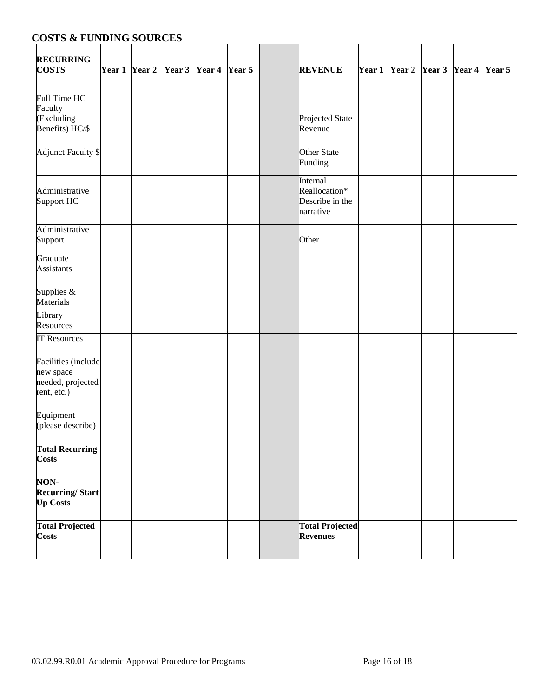# **COSTS & FUNDING SOURCES**

| <b>RECURRING</b><br><b>COSTS</b>                                     |  | Year 1 Year 2 Year 3 Year 4 Year 5 |  | <b>REVENUE</b>                                            |  | Year 1 Year 2 Year 3 Year 4 Year 5 |  |
|----------------------------------------------------------------------|--|------------------------------------|--|-----------------------------------------------------------|--|------------------------------------|--|
| Full Time HC<br>Faculty<br>(Excluding<br>Benefits) HC/\$             |  |                                    |  | Projected State<br>Revenue                                |  |                                    |  |
| <b>Adjunct Faculty \$</b>                                            |  |                                    |  | Other State<br>Funding                                    |  |                                    |  |
| Administrative<br>Support HC                                         |  |                                    |  | Internal<br>Reallocation*<br>Describe in the<br>narrative |  |                                    |  |
| Administrative<br>Support                                            |  |                                    |  | Other                                                     |  |                                    |  |
| Graduate<br><b>Assistants</b>                                        |  |                                    |  |                                                           |  |                                    |  |
| Supplies &<br>Materials                                              |  |                                    |  |                                                           |  |                                    |  |
| Library<br>Resources                                                 |  |                                    |  |                                                           |  |                                    |  |
| <b>IT Resources</b>                                                  |  |                                    |  |                                                           |  |                                    |  |
| Facilities (include<br>new space<br>needed, projected<br>rent, etc.) |  |                                    |  |                                                           |  |                                    |  |
| Equipment<br>(please describe)                                       |  |                                    |  |                                                           |  |                                    |  |
| <b>Total Recurring</b><br><b>Costs</b>                               |  |                                    |  |                                                           |  |                                    |  |
| NON-<br><b>Recurring/Start</b><br><b>Up Costs</b>                    |  |                                    |  |                                                           |  |                                    |  |
| <b>Total Projected</b><br><b>Costs</b>                               |  |                                    |  | <b>Total Projected</b><br>Revenues                        |  |                                    |  |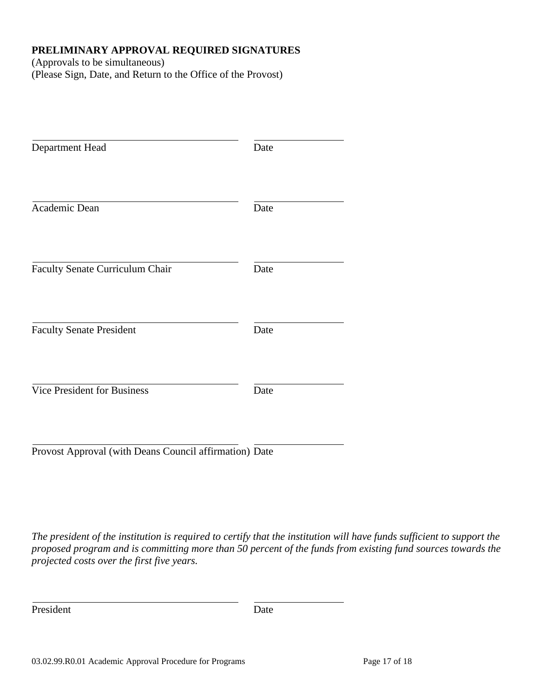## **PRELIMINARY APPROVAL REQUIRED SIGNATURES**

(Approvals to be simultaneous) (Please Sign, Date, and Return to the Office of the Provost)

| Department Head                                        | Date |
|--------------------------------------------------------|------|
| Academic Dean                                          | Date |
| Faculty Senate Curriculum Chair                        | Date |
| <b>Faculty Senate President</b>                        | Date |
| <b>Vice President for Business</b>                     | Date |
| Provost Approval (with Deans Council affirmation) Date |      |

*The president of the institution is required to certify that the institution will have funds sufficient to support the proposed program and is committing more than 50 percent of the funds from existing fund sources towards the projected costs over the first five years.*

President Date